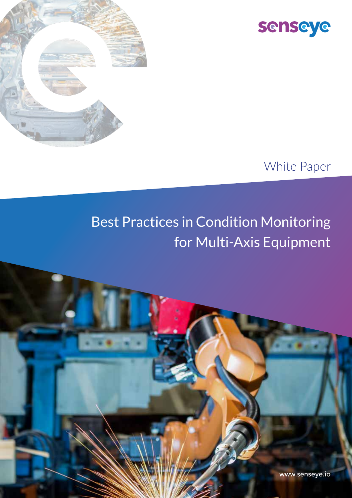



#### White Paper

# Best Practices in Condition Monitoring for Multi-Axis Equipment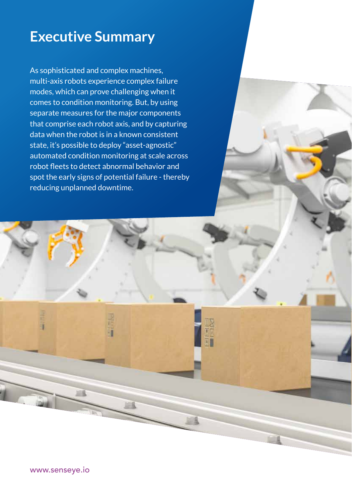### **Executive Summary**

As sophisticated and complex machines, multi-axis robots experience complex failure modes, which can prove challenging when it comes to condition monitoring. But, by using separate measures for the major components that comprise each robot axis, and by capturing data when the robot is in a known consistent state, it's possible to deploy "asset-agnostic" automated condition monitoring at scale across robot fleets to detect abnormal behavior and spot the early signs of potential failure - thereby reducing unplanned downtime.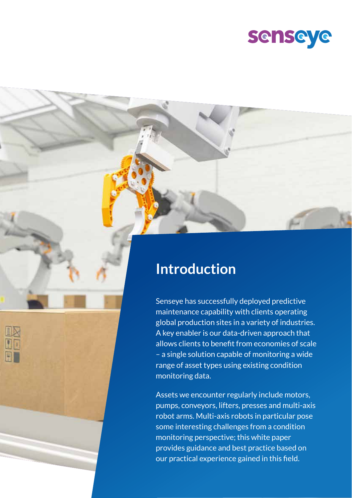

#### **Introduction**

Senseye has successfully deployed predictive maintenance capability with clients operating global production sites in a variety of industries. A key enabler is our data-driven approach that allows clients to benefit from economies of scale – a single solution capable of monitoring a wide range of asset types using existing condition monitoring data.

Assets we encounter regularly include motors, pumps, conveyors, lifters, presses and multi-axis robot arms. Multi-axis robots in particular pose some interesting challenges from a condition monitoring perspective; this white paper provides guidance and best practice based on our practical experience gained in this field.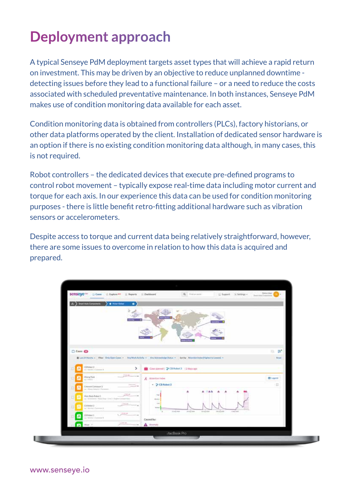## **Deployment approach**

A typical Senseye PdM deployment targets asset types that will achieve a rapid return on investment. This may be driven by an objective to reduce unplanned downtime detecting issues before they lead to a functional failure – or a need to reduce the costs associated with scheduled preventative maintenance. In both instances, Senseye PdM makes use of condition monitoring data available for each asset.

Condition monitoring data is obtained from controllers (PLCs), factory historians, or other data platforms operated by the client. Installation of dedicated sensor hardware is an option if there is no existing condition monitoring data although, in many cases, this is not required.

Robot controllers – the dedicated devices that execute pre-defined programs to control robot movement – typically expose real-time data including motor current and torque for each axis. In our experience this data can be used for condition monitoring purposes - there is little benefit retro-fitting additional hardware such as vibration sensors or accelerometers.

Despite access to torque and current data being relatively straightforward, however, there are some issues to overcome in relation to how this data is acquired and prepared.

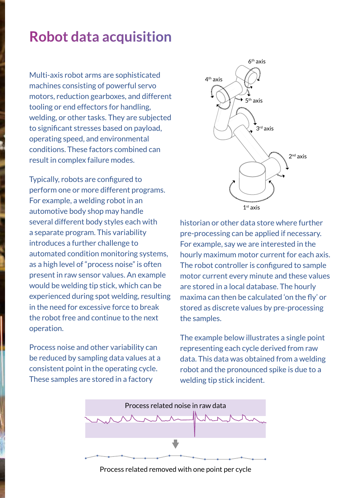## **Robot data acquisition**

Multi-axis robot arms are sophisticated machines consisting of powerful servo motors, reduction gearboxes, and different tooling or end effectors for handling, welding, or other tasks. They are subjected to significant stresses based on payload, operating speed, and environmental conditions. These factors combined can result in complex failure modes.

Typically, robots are configured to perform one or more different programs. For example, a welding robot in an automotive body shop may handle several different body styles each with a separate program. This variability introduces a further challenge to automated condition monitoring systems, as a high level of "process noise" is often present in raw sensor values. An example would be welding tip stick, which can be experienced during spot welding, resulting in the need for excessive force to break the robot free and continue to the next operation.

Process noise and other variability can be reduced by sampling data values at a consistent point in the operating cycle. These samples are stored in a factory



historian or other data store where further pre-processing can be applied if necessary. For example, say we are interested in the hourly maximum motor current for each axis. The robot controller is configured to sample motor current every minute and these values are stored in a local database. The hourly maxima can then be calculated 'on the fly' or stored as discrete values by pre-processing the samples.

The example below illustrates a single point representing each cycle derived from raw data. This data was obtained from a welding robot and the pronounced spike is due to a welding tip stick incident.



Process related removed with one point per cycle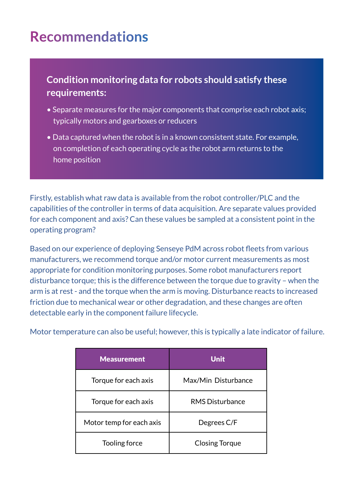## **Recommendations**

**Condition monitoring data for robots should satisfy these requirements:**

- Separate measures for the major components that comprise each robot axis; typically motors and gearboxes or reducers
- Data captured when the robot is in a known consistent state. For example, on completion of each operating cycle as the robot arm returns to the home position

Firstly, establish what raw data is available from the robot controller/PLC and the capabilities of the controller in terms of data acquisition. Are separate values provided for each component and axis? Can these values be sampled at a consistent point in the operating program?

Based on our experience of deploying Senseye PdM across robot fleets from various manufacturers, we recommend torque and/or motor current measurements as most appropriate for condition monitoring purposes. Some robot manufacturers report disturbance torque; this is the difference between the torque due to gravity – when the arm is at rest - and the torque when the arm is moving. Disturbance reacts to increased friction due to mechanical wear or other degradation, and these changes are often detectable early in the component failure lifecycle.

Motor temperature can also be useful; however, this is typically a late indicator of failure.

| <b>Measurement</b>       | <b>Unit</b>            |
|--------------------------|------------------------|
| Torque for each axis     | Max/Min Disturbance    |
| Torque for each axis     | <b>RMS Disturbance</b> |
| Motor temp for each axis | Degrees C/F            |
| Tooling force            | <b>Closing Torque</b>  |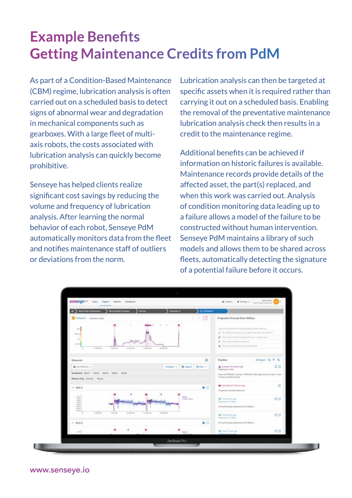## **Example Benefits Getting Maintenance Credits from PdM**

As part of a Condition-Based Maintenance (CBM) regime, lubrication analysis is often carried out on a scheduled basis to detect signs of abnormal wear and degradation in mechanical components such as gearboxes. With a large fleet of multiaxis robots, the costs associated with lubrication analysis can quickly become prohibitive.

Senseye has helped clients realize significant cost savings by reducing the volume and frequency of lubrication analysis. After learning the normal behavior of each robot, Senseye PdM automatically monitors data from the fleet and notifies maintenance staff of outliers or deviations from the norm.

Lubrication analysis can then be targeted at specific assets when it is required rather than carrying it out on a scheduled basis. Enabling the removal of the preventative maintenance lubrication analysis check then results in a credit to the maintenance regime.

Additional benefits can be achieved if information on historic failures is available. Maintenance records provide details of the affected asset, the part(s) replaced, and when this work was carried out. Analysis of condition monitoring data leading up to a failure allows a model of the failure to be constructed without human intervention. Senseye PdM maintains a library of such models and allows them to be shared across fleets, automatically detecting the signature of a potential failure before it occurs.

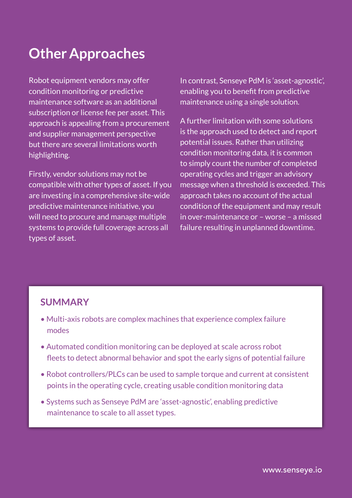## **Other Approaches**

Robot equipment vendors may offer condition monitoring or predictive maintenance software as an additional subscription or license fee per asset. This approach is appealing from a procurement and supplier management perspective but there are several limitations worth highlighting.

Firstly, vendor solutions may not be compatible with other types of asset. If you are investing in a comprehensive site-wide predictive maintenance initiative, you will need to procure and manage multiple systems to provide full coverage across all types of asset.

In contrast, Senseye PdM is 'asset-agnostic', enabling you to benefit from predictive maintenance using a single solution.

A further limitation with some solutions is the approach used to detect and report potential issues. Rather than utilizing condition monitoring data, it is common to simply count the number of completed operating cycles and trigger an advisory message when a threshold is exceeded. This approach takes no account of the actual condition of the equipment and may result in over-maintenance or – worse – a missed failure resulting in unplanned downtime.

#### **SUMMARY**

- Multi-axis robots are complex machines that experience complex failure modes
- Automated condition monitoring can be deployed at scale across robot fleets to detect abnormal behavior and spot the early signs of potential failure
- Robot controllers/PLCs can be used to sample torque and current at consistent points in the operating cycle, creating usable condition monitoring data
- Systems such as Senseye PdM are 'asset-agnostic', enabling predictive maintenance to scale to all asset types.